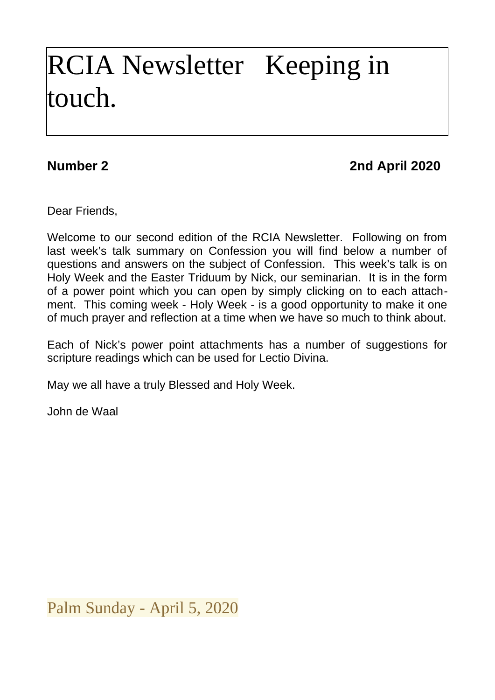# RCIA Newsletter Keeping in touch.

## **Number 2 2nd April 2020**

Dear Friends,

Welcome to our second edition of the RCIA Newsletter. Following on from last week's talk summary on Confession you will find below a number of questions and answers on the subject of Confession. This week's talk is on Holy Week and the Easter Triduum by Nick, our seminarian. It is in the form of a power point which you can open by simply clicking on to each attachment. This coming week - Holy Week - is a good opportunity to make it one of much prayer and reflection at a time when we have so much to think about.

Each of Nick's power point attachments has a number of suggestions for scripture readings which can be used for Lectio Divina.

May we all have a truly Blessed and Holy Week.

John de Waal

Palm Sunday - April 5, 2020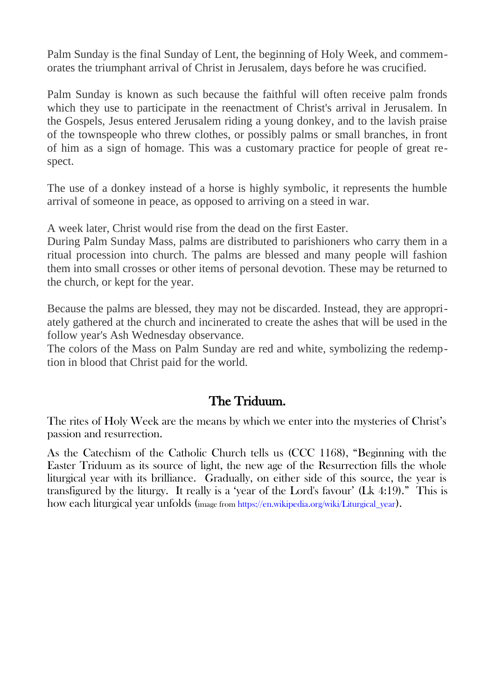Palm Sunday is the final Sunday of Lent, the beginning of Holy Week, and commemorates the triumphant arrival of Christ in Jerusalem, days before he was crucified.

Palm Sunday is known as such because the faithful will often receive palm fronds which they use to participate in the reenactment of Christ's arrival in Jerusalem. In the Gospels, Jesus entered Jerusalem riding a young donkey, and to the lavish praise of the townspeople who threw clothes, or possibly palms or small branches, in front of him as a sign of homage. This was a customary practice for people of great respect.

The use of a donkey instead of a horse is highly symbolic, it represents the humble arrival of someone in peace, as opposed to arriving on a steed in war.

A week later, Christ would rise from the dead on the first Easter.

During Palm Sunday Mass, palms are distributed to parishioners who carry them in a ritual procession into church. The palms are blessed and many people will fashion them into small crosses or other items of personal devotion. These may be returned to the church, or kept for the year.

Because the palms are blessed, they may not be discarded. Instead, they are appropriately gathered at the church and incinerated to create the ashes that will be used in the follow year's Ash Wednesday observance.

The colors of the Mass on Palm Sunday are red and white, symbolizing the redemption in blood that Christ paid for the world.

### The Triduum.

The rites of Holy Week are the means by which we enter into the mysteries of Christ's passion and resurrection.

As the Catechism of the Catholic Church tells us (CCC 1168), "Beginning with the Easter Triduum as its source of light, the new age of the Resurrection fills the whole liturgical year with its brilliance. Gradually, on either side of this source, the year is transfigured by the liturgy. It really is a 'year of the Lord's favour' (Lk 4:19)." This is how each liturgical year unfolds (image from https://en.wikipedia.org/wiki/Liturgical year).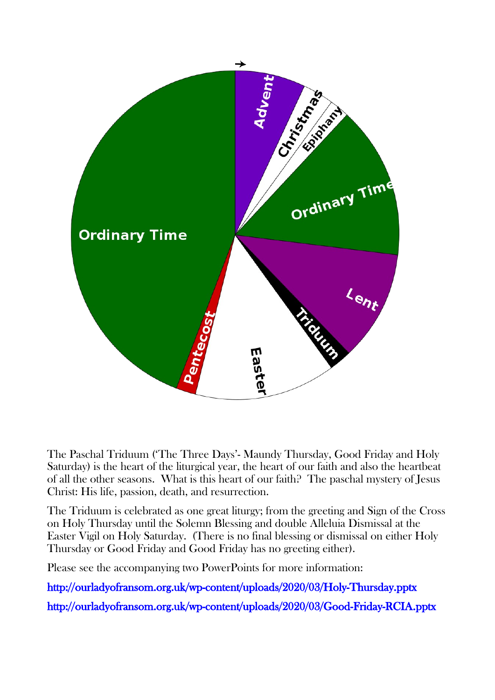

The Paschal Triduum ('The Three Days'- Maundy Thursday, Good Friday and Holy Saturday) is the heart of the liturgical year, the heart of our faith and also the heartbeat of all the other seasons. What is this heart of our faith? The paschal mystery of Jesus Christ: His life, passion, death, and resurrection.

The Triduum is celebrated as one great liturgy; from the greeting and Sign of the Cross on Holy Thursday until the Solemn Blessing and double Alleluia Dismissal at the Easter Vigil on Holy Saturday. (There is no final blessing or dismissal on either Holy Thursday or Good Friday and Good Friday has no greeting either).

Please see the accompanying two PowerPoints for more information:

<http://ourladyofransom.org.uk/wp-content/uploads/2020/03/Holy-Thursday.pptx>

<http://ourladyofransom.org.uk/wp-content/uploads/2020/03/Good-Friday-RCIA.pptx>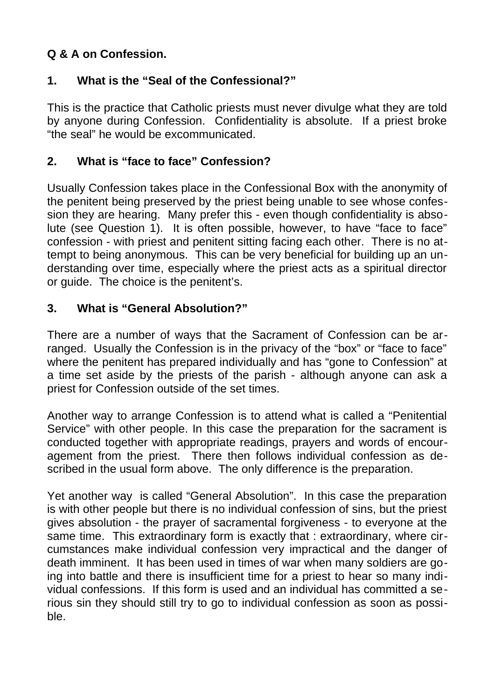#### **Q & A on Confession.**

#### **1. What is the "Seal of the Confessional?"**

This is the practice that Catholic priests must never divulge what they are told by anyone during Confession. Confidentiality is absolute. If a priest broke "the seal" he would be excommunicated.

#### **2. What is "face to face" Confession?**

Usually Confession takes place in the Confessional Box with the anonymity of the penitent being preserved by the priest being unable to see whose confession they are hearing. Many prefer this - even though confidentiality is absolute (see Question 1). It is often possible, however, to have "face to face" confession - with priest and penitent sitting facing each other. There is no attempt to being anonymous. This can be very beneficial for building up an understanding over time, especially where the priest acts as a spiritual director or guide. The choice is the penitent's.

#### **3. What is "General Absolution?"**

There are a number of ways that the Sacrament of Confession can be arranged. Usually the Confession is in the privacy of the "box" or "face to face" where the penitent has prepared individually and has "gone to Confession" at a time set aside by the priests of the parish - although anyone can ask a priest for Confession outside of the set times.

Another way to arrange Confession is to attend what is called a "Penitential Service" with other people. In this case the preparation for the sacrament is conducted together with appropriate readings, prayers and words of encouragement from the priest. There then follows individual confession as described in the usual form above. The only difference is the preparation.

Yet another way is called "General Absolution". In this case the preparation is with other people but there is no individual confession of sins, but the priest gives absolution - the prayer of sacramental forgiveness - to everyone at the same time. This extraordinary form is exactly that : extraordinary, where circumstances make individual confession very impractical and the danger of death imminent. It has been used in times of war when many soldiers are going into battle and there is insufficient time for a priest to hear so many individual confessions. If this form is used and an individual has committed a serious sin they should still try to go to individual confession as soon as possible.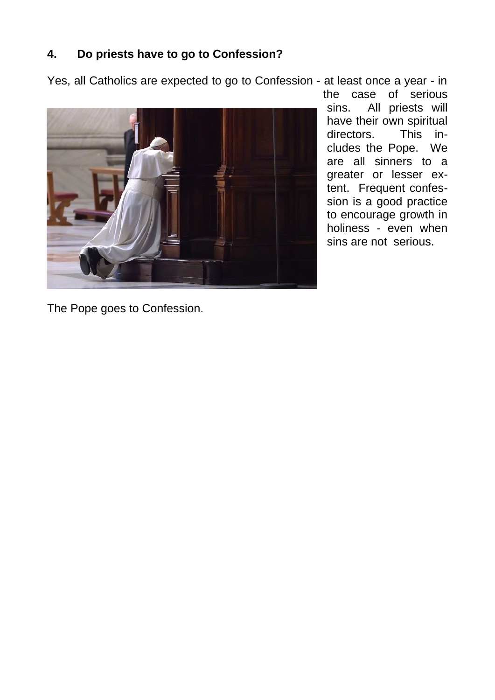#### **4. Do priests have to go to Confession?**

Yes, all Catholics are expected to go to Confession - at least once a year - in



the case of serious sins. All priests will have their own spiritual directors. This includes the Pope. We are all sinners to a greater or lesser extent. Frequent confession is a good practice to encourage growth in holiness - even when sins are not serious.

The Pope goes to Confession.